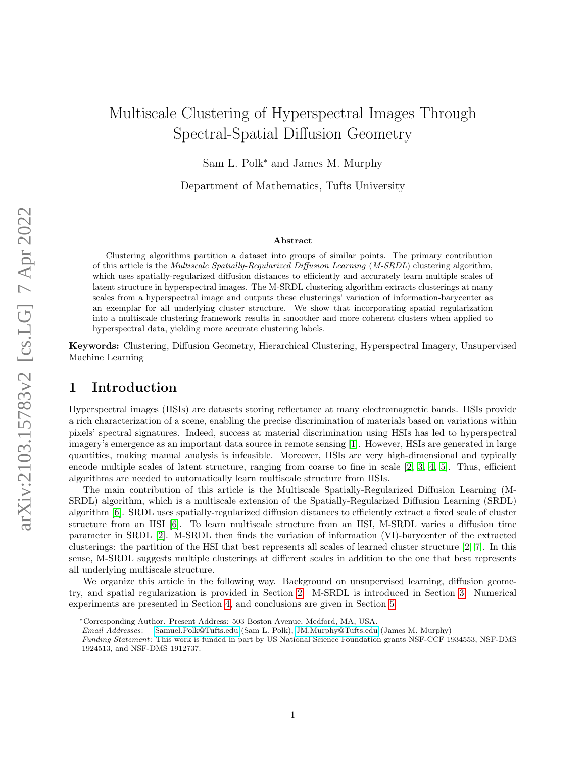# Multiscale Clustering of Hyperspectral Images Through Spectral-Spatial Diffusion Geometry

Sam L. Polk<sup>∗</sup> and James M. Murphy

Department of Mathematics, Tufts University

#### Abstract

Clustering algorithms partition a dataset into groups of similar points. The primary contribution of this article is the Multiscale Spatially-Regularized Diffusion Learning (M-SRDL) clustering algorithm, which uses spatially-regularized diffusion distances to efficiently and accurately learn multiple scales of latent structure in hyperspectral images. The M-SRDL clustering algorithm extracts clusterings at many scales from a hyperspectral image and outputs these clusterings' variation of information-barycenter as an exemplar for all underlying cluster structure. We show that incorporating spatial regularization into a multiscale clustering framework results in smoother and more coherent clusters when applied to hyperspectral data, yielding more accurate clustering labels.

Keywords: Clustering, Diffusion Geometry, Hierarchical Clustering, Hyperspectral Imagery, Unsupervised Machine Learning

### 1 Introduction

Hyperspectral images (HSIs) are datasets storing reflectance at many electromagnetic bands. HSIs provide a rich characterization of a scene, enabling the precise discrimination of materials based on variations within pixels' spectral signatures. Indeed, success at material discrimination using HSIs has led to hyperspectral imagery's emergence as an important data source in remote sensing [\[1\]](#page-4-0). However, HSIs are generated in large quantities, making manual analysis is infeasible. Moreover, HSIs are very high-dimensional and typically encode multiple scales of latent structure, ranging from coarse to fine in scale [\[2,](#page-4-1) [3,](#page-4-2) [4,](#page-5-0) [5\]](#page-5-1). Thus, efficient algorithms are needed to automatically learn multiscale structure from HSIs.

The main contribution of this article is the Multiscale Spatially-Regularized Diffusion Learning (M-SRDL) algorithm, which is a multiscale extension of the Spatially-Regularized Diffusion Learning (SRDL) algorithm [\[6\]](#page-5-2). SRDL uses spatially-regularized diffusion distances to efficiently extract a fixed scale of cluster structure from an HSI [\[6\]](#page-5-2). To learn multiscale structure from an HSI, M-SRDL varies a diffusion time parameter in SRDL [\[2\]](#page-4-1). M-SRDL then finds the variation of information (VI)-barycenter of the extracted clusterings: the partition of the HSI that best represents all scales of learned cluster structure [\[2,](#page-4-1) [7\]](#page-5-3). In this sense, M-SRDL suggests multiple clusterings at different scales in addition to the one that best represents all underlying multiscale structure.

We organize this article in the following way. Background on unsupervised learning, diffusion geometry, and spatial regularization is provided in Section [2.](#page-1-0) M-SRDL is introduced in Section [3.](#page-2-0) Numerical experiments are presented in Section [4,](#page-3-0) and conclusions are given in Section [5.](#page-4-3)

<sup>∗</sup>Corresponding Author. Present Address: 503 Boston Avenue, Medford, MA, USA.

Email Addresses:<Samuel.Polk@Tufts.edu> (Sam L. Polk),<JM.Murphy@Tufts.edu> (James M. Murphy)

Funding Statement: This work is funded in part by US National Science Foundation grants NSF-CCF 1934553, NSF-DMS 1924513, and NSF-DMS 1912737.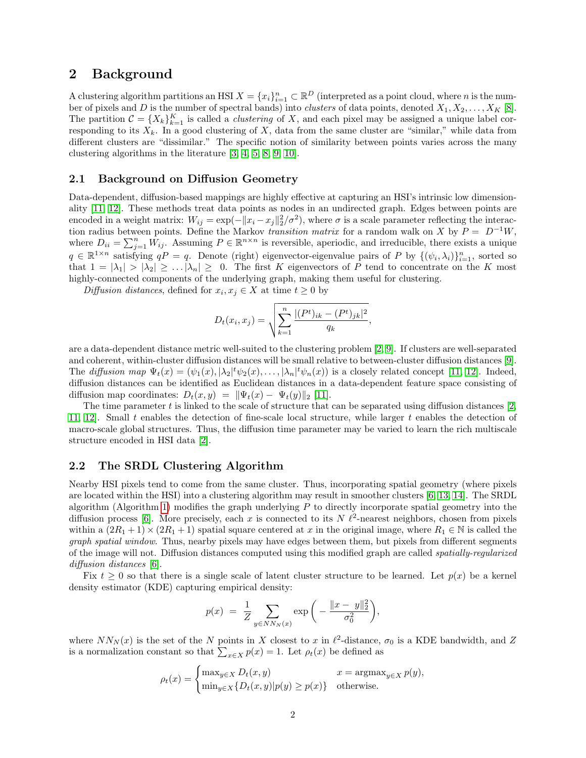### <span id="page-1-0"></span>2 Background

A clustering algorithm partitions an HSI  $X = \{x_i\}_{i=1}^n \subset \mathbb{R}^D$  (interpreted as a point cloud, where n is the number of pixels and D is the number of spectral bands) into *clusters* of data points, denoted  $X_1, X_2, \ldots, X_K$  [\[8\]](#page-5-4). The partition  $\mathcal{C} = \{X_k\}_{k=1}^K$  is called a *clustering* of X, and each pixel may be assigned a unique label corresponding to its  $X_k$ . In a good clustering of X, data from the same cluster are "similar," while data from different clusters are "dissimilar." The specific notion of similarity between points varies across the many clustering algorithms in the literature [\[3,](#page-4-2) [4,](#page-5-0) [5,](#page-5-1) [8,](#page-5-4) [9,](#page-5-5) [10\]](#page-5-6).

### 2.1 Background on Diffusion Geometry

Data-dependent, diffusion-based mappings are highly effective at capturing an HSI's intrinsic low dimensionality [\[11,](#page-5-7) [12\]](#page-5-8). These methods treat data points as nodes in an undirected graph. Edges between points are encoded in a weight matrix:  $W_{ij} = \exp(-||x_i - x_j||_2^2/\sigma^2)$ , where  $\sigma$  is a scale parameter reflecting the interaction radius between points. Define the Markov transition matrix for a random walk on X by  $P = D^{-1}W$ , where  $D_{ii} = \sum_{j=1}^{n} \hat{W}_{ij}$ . Assuming  $P \in \mathbb{R}^{n \times n}$  is reversible, aperiodic, and irreducible, there exists a unique  $q \in \mathbb{R}^{1 \times n}$  satisfying  $qP = q$ . Denote (right) eigenvector-eigenvalue pairs of P by  $\{(\psi_i, \lambda_i)\}_{i=1}^n$ , sorted so that  $1 = |\lambda_1| > |\lambda_2| \geq ... |\lambda_n| \geq 0$ . The first K eigenvectors of P tend to concentrate on the K most highly-connected components of the underlying graph, making them useful for clustering.

Diffusion distances, defined for  $x_i, x_j \in X$  at time  $t \geq 0$  by

$$
D_t(x_i, x_j) = \sqrt{\sum_{k=1}^n \frac{|(P^t)_{ik} - (P^t)_{jk}|^2}{q_k}},
$$

are a data-dependent distance metric well-suited to the clustering problem [\[2,](#page-4-1) [9\]](#page-5-5). If clusters are well-separated and coherent, within-cluster diffusion distances will be small relative to between-cluster diffusion distances [\[9\]](#page-5-5). The diffusion map  $\Psi_t(x) = (\psi_1(x), |\lambda_2|^t \psi_2(x), \dots, |\lambda_n|^t \psi_n(x))$  is a closely related concept [\[11,](#page-5-7) [12\]](#page-5-8). Indeed, diffusion distances can be identified as Euclidean distances in a data-dependent feature space consisting of diffusion map coordinates:  $D_t(x, y) = ||\Psi_t(x) - \Psi_t(y)||_2$  [\[11\]](#page-5-7).

The time parameter  $t$  is linked to the scale of structure that can be separated using diffusion distances [\[2,](#page-4-1) [11,](#page-5-7) [12\]](#page-5-8). Small t enables the detection of fine-scale local structure, while larger t enables the detection of macro-scale global structures. Thus, the diffusion time parameter may be varied to learn the rich multiscale structure encoded in HSI data [\[2\]](#page-4-1).

### <span id="page-1-1"></span>2.2 The SRDL Clustering Algorithm

Nearby HSI pixels tend to come from the same cluster. Thus, incorporating spatial geometry (where pixels are located within the HSI) into a clustering algorithm may result in smoother clusters [\[6,](#page-5-2) [13,](#page-5-9) [14\]](#page-5-10). The SRDL algorithm (Algorithm [1\)](#page-2-1) modifies the graph underlying P to directly incorporate spatial geometry into the diffusion process [\[6\]](#page-5-2). More precisely, each x is connected to its  $N \ell^2$ -nearest neighbors, chosen from pixels within a  $(2R_1 + 1) \times (2R_1 + 1)$  spatial square centered at x in the original image, where  $R_1 \in \mathbb{N}$  is called the graph spatial window. Thus, nearby pixels may have edges between them, but pixels from different segments of the image will not. Diffusion distances computed using this modified graph are called spatially-regularized diffusion distances [\[6\]](#page-5-2).

Fix  $t \geq 0$  so that there is a single scale of latent cluster structure to be learned. Let  $p(x)$  be a kernel density estimator (KDE) capturing empirical density:

$$
p(x) = \frac{1}{Z} \sum_{y \in NN_N(x)} \exp\bigg(-\frac{\|x - y\|_2^2}{\sigma_0^2}\bigg),\,
$$

where  $NN_N(x)$  is the set of the N points in X closest to x in  $\ell^2$ -distance,  $\sigma_0$  is a KDE bandwidth, and Z is a normalization constant so that  $\sum_{x \in X} p(x) = 1$ . Let  $\rho_t(x)$  be defined as

$$
\rho_t(x) = \begin{cases} \max_{y \in X} D_t(x, y) & x = \operatorname{argmax}_{y \in X} p(y), \\ \min_{y \in X} \{D_t(x, y) | p(y) \ge p(x) \} & \text{otherwise.} \end{cases}
$$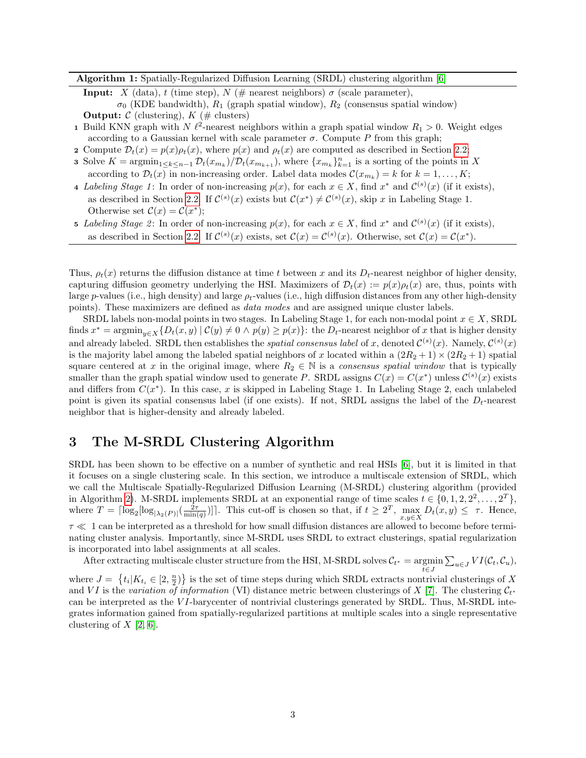#### Algorithm 1: Spatially-Regularized Diffusion Learning (SRDL) clustering algorithm [\[6\]](#page-5-2)

- **Input:** X (data), t (time step),  $N$  (# nearest neighbors)  $\sigma$  (scale parameter),  $\sigma_0$  (KDE bandwidth),  $R_1$  (graph spatial window),  $R_2$  (consensus spatial window) **Output:**  $C$  (clustering),  $K$  (# clusters)
- 1 Build KNN graph with  $N \ell^2$ -nearest neighbors within a graph spatial window  $R_1 > 0$ . Weight edges according to a Gaussian kernel with scale parameter  $\sigma$ . Compute P from this graph;
- 2 Compute  $\mathcal{D}_t(x) = p(x)\rho_t(x)$ , where  $p(x)$  and  $\rho_t(x)$  are computed as described in Section [2.2;](#page-1-1)
- 3 Solve  $K = \operatorname{argmin}_{1 \leq k \leq n-1} \mathcal{D}_t(x_{m_k}) / \mathcal{D}_t(x_{m_{k+1}})$ , where  $\{x_{m_k}\}_{k=1}^n$  is a sorting of the points in X according to  $\mathcal{D}_t(x)$  in non-increasing order. Label data modes  $\mathcal{C}(x_{m_k}) = k$  for  $k = 1, ..., K$ ;
- 4 Labeling Stage 1: In order of non-increasing  $p(x)$ , for each  $x \in X$ , find  $x^*$  and  $\mathcal{C}^{(s)}(x)$  (if it exists), as described in Section [2.2.](#page-1-1) If  $\mathcal{C}^{(s)}(x)$  exists but  $\mathcal{C}(x^*) \neq \mathcal{C}^{(s)}(x)$ , skip x in Labeling Stage 1. Otherwise set  $\mathcal{C}(x) = \mathcal{C}(x^*)$ ;
- <span id="page-2-1"></span>5 Labeling Stage 2: In order of non-increasing  $p(x)$ , for each  $x \in X$ , find  $x^*$  and  $\mathcal{C}^{(s)}(x)$  (if it exists), as described in Section [2.2.](#page-1-1) If  $\mathcal{C}^{(s)}(x)$  exists, set  $\mathcal{C}(x) = \mathcal{C}^{(s)}(x)$ . Otherwise, set  $\mathcal{C}(x) = \mathcal{C}(x^*)$ .

Thus,  $\rho_t(x)$  returns the diffusion distance at time t between x and its  $D_t$ -nearest neighbor of higher density, capturing diffusion geometry underlying the HSI. Maximizers of  $\mathcal{D}_t(x) := p(x)\rho_t(x)$  are, thus, points with large p-values (i.e., high density) and large  $\rho_t$ -values (i.e., high diffusion distances from any other high-density points). These maximizers are defined as data modes and are assigned unique cluster labels.

SRDL labels non-modal points in two stages. In Labeling Stage 1, for each non-modal point  $x \in X$ , SRDL finds  $x^* = \operatorname{argmin}_{y \in X} \{ D_t(x, y) \mid C(y) \neq 0 \land p(y) \geq p(x) \}$ : the  $D_t$ -nearest neighbor of x that is higher density and already labeled. SRDL then establishes the *spatial consensus label* of x, denoted  $\mathcal{C}^{(s)}(x)$ . Namely,  $\mathcal{C}^{(s)}(x)$ is the majority label among the labeled spatial neighbors of x located within a  $(2R_2 + 1) \times (2R_2 + 1)$  spatial square centered at x in the original image, where  $R_2 \in \mathbb{N}$  is a consensus spatial window that is typically smaller than the graph spatial window used to generate P. SRDL assigns  $C(x) = C(x^*)$  unless  $\mathcal{C}^{(s)}(x)$  exists and differs from  $C(x^*)$ . In this case, x is skipped in Labeling Stage 1. In Labeling Stage 2, each unlabeled point is given its spatial consensus label (if one exists). If not, SRDL assigns the label of the  $D_t$ -nearest neighbor that is higher-density and already labeled.

# <span id="page-2-0"></span>3 The M-SRDL Clustering Algorithm

SRDL has been shown to be effective on a number of synthetic and real HSIs [\[6\]](#page-5-2), but it is limited in that it focuses on a single clustering scale. In this section, we introduce a multiscale extension of SRDL, which we call the Multiscale Spatially-Regularized Diffusion Learning (M-SRDL) clustering algorithm (provided in Algorithm [2\)](#page-3-1). M-SRDL implements SRDL at an exponential range of time scales  $t \in \{0, 1, 2, 2^2, \ldots, 2^T\},$ where  $T = \lceil \log_2 \lfloor \log_{|\lambda_2(P)|} (\frac{2\tau}{\min(q)}) \rceil$ . This cut-off is chosen so that, if  $t \geq 2^T$ ,  $\max_{x,y \in X} D_t(x,y) \leq \tau$ . Hence,  $\tau \ll 1$  can be interpreted as a threshold for how small diffusion distances are allowed to become before terminating cluster analysis. Importantly, since M-SRDL uses SRDL to extract clusterings, spatial regularization is incorporated into label assignments at all scales.

After extracting multiscale cluster structure from the HSI, M-SRDL solves  $\mathcal{C}_{t^*} = \operatorname*{argmin}_{t \in J}$  $\sum_{u\in J} VI(\mathcal{C}_t, \mathcal{C}_u),$ 

where  $J = \{t_i | K_{t_i} \in [2, \frac{n}{2})\}$  is the set of time steps during which SRDL extracts nontrivial clusterings of X and VI is the variation of information (VI) distance metric between clusterings of X [\[7\]](#page-5-3). The clustering  $\mathcal{C}_{t^*}$ can be interpreted as the  $VI$ -barycenter of nontrivial clusterings generated by SRDL. Thus, M-SRDL integrates information gained from spatially-regularized partitions at multiple scales into a single representative clustering of  $X$  [\[2,](#page-4-1) [6\]](#page-5-2).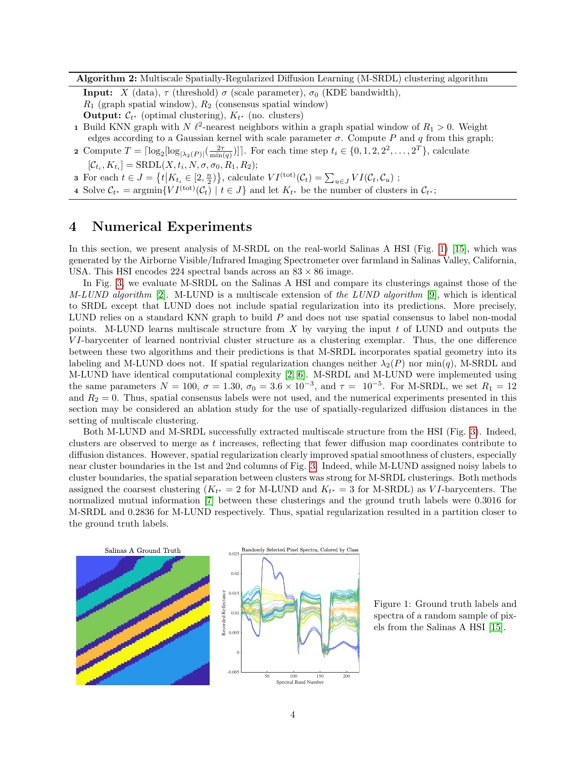Algorithm 2: Multiscale Spatially-Regularized Diffusion Learning (M-SRDL) clustering algorithm

**Input:** X (data),  $\tau$  (threshold)  $\sigma$  (scale parameter),  $\sigma_0$  (KDE bandwidth),

 $R_1$  (graph spatial window),  $R_2$  (consensus spatial window)

- **Output:**  $\mathcal{C}_{t^*}$  (optimal clustering),  $K_{t^*}$  (no. clusters)
- 1 Build KNN graph with  $N \ell^2$ -nearest neighbors within a graph spatial window of  $R_1 > 0$ . Weight edges according to a Gaussian kernel with scale parameter  $\sigma$ . Compute P and q from this graph;
- 2 Compute  $T = \lceil \log_2[\log_{|\lambda_2(P)|}(\frac{2\tau}{\min(q)})] \rceil$ . For each time step  $t_i \in \{0, 1, 2, 2^2, \ldots, 2^T\}$ , calculate  $[\mathcal{C}_{t_i}, K_{t_i}] = \text{SRDL}(X, t_i, N, \sigma, \sigma_0, R_1, R_2);$
- **3** For each  $t \in J = \{t | K_{t_i} \in [2, \frac{n}{2})\}$ , calculate  $VI^{(\text{tot})}(\mathcal{C}_t) = \sum_{u \in J} VI(\mathcal{C}_t, \mathcal{C}_u)$ ;
- <span id="page-3-1"></span>4 Solve  $\mathcal{C}_{t^*} = \operatorname{argmin} \{ VI^{(\text{tot})}(\mathcal{C}_t) \mid t \in J \}$  and let  $K_{t^*}$  be the number of clusters in  $\mathcal{C}_{t^*}$ ;

### <span id="page-3-0"></span>4 Numerical Experiments

In this section, we present analysis of M-SRDL on the real-world Salinas A HSI (Fig. [1\)](#page-3-2) [\[15\]](#page-5-11), which was generated by the Airborne Visible/Infrared Imaging Spectrometer over farmland in Salinas Valley, California, USA. This HSI encodes 224 spectral bands across an  $83 \times 86$  image.

In Fig. [3,](#page-4-4) we evaluate M-SRDL on the Salinas A HSI and compare its clusterings against those of the M-LUND algorithm [\[2\]](#page-4-1). M-LUND is a multiscale extension of the LUND algorithm [\[9\]](#page-5-5), which is identical to SRDL except that LUND does not include spatial regularization into its predictions. More precisely, LUND relies on a standard KNN graph to build  $P$  and does not use spatial consensus to label non-modal points. M-LUND learns multiscale structure from  $X$  by varying the input  $t$  of LUND and outputs the V I-barycenter of learned nontrivial cluster structure as a clustering exemplar. Thus, the one difference between these two algorithms and their predictions is that M-SRDL incorporates spatial geometry into its labeling and M-LUND does not. If spatial regularization changes neither  $\lambda_2(P)$  nor min(q), M-SRDL and M-LUND have identical computational complexity [\[2,](#page-4-1) [6\]](#page-5-2). M-SRDL and M-LUND were implemented using the same parameters  $N = 100$ ,  $\sigma = 1.30$ ,  $\sigma_0 = 3.6 \times 10^{-3}$ , and  $\tau = 10^{-5}$ . For M-SRDL, we set  $R_1 = 12$ and  $R_2 = 0$ . Thus, spatial consensus labels were not used, and the numerical experiments presented in this section may be considered an ablation study for the use of spatially-regularized diffusion distances in the setting of multiscale clustering.

Both M-LUND and M-SRDL successfully extracted multiscale structure from the HSI (Fig. [3\)](#page-4-4). Indeed, clusters are observed to merge as t increases, reflecting that fewer diffusion map coordinates contribute to diffusion distances. However, spatial regularization clearly improved spatial smoothness of clusters, especially near cluster boundaries in the 1st and 2nd columns of Fig. [3.](#page-4-4) Indeed, while M-LUND assigned noisy labels to cluster boundaries, the spatial separation between clusters was strong for M-SRDL clusterings. Both methods assigned the coarsest clustering  $(K_{t^*} = 2$  for M-LUND and  $K_{t^*} = 3$  for M-SRDL) as VI-barycenters. The normalized mutual information [\[7\]](#page-5-3) between these clusterings and the ground truth labels were 0.3016 for M-SRDL and 0.2836 for M-LUND respectively. Thus, spatial regularization resulted in a partition closer to the ground truth labels.

<span id="page-3-2"></span>

Figure 1: Ground truth labels and spectra of a random sample of pixels from the Salinas A HSI [\[15\]](#page-5-11).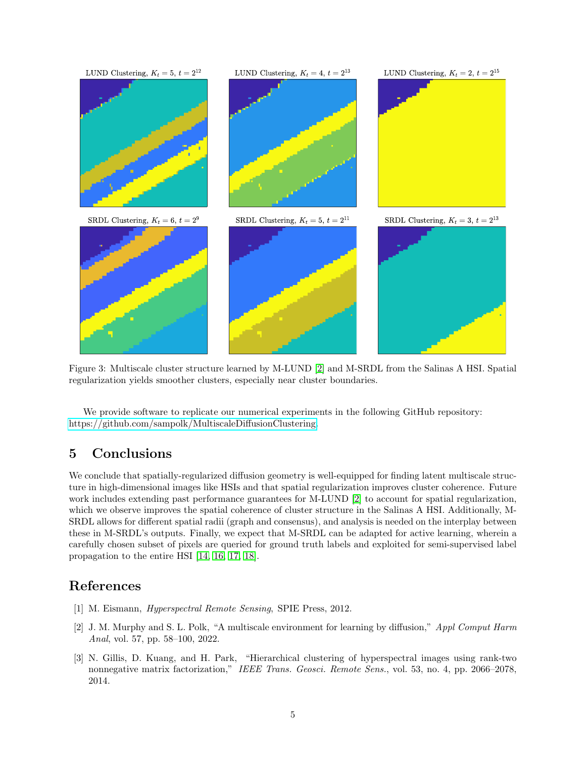<span id="page-4-4"></span>

Figure 3: Multiscale cluster structure learned by M-LUND [\[2\]](#page-4-1) and M-SRDL from the Salinas A HSI. Spatial regularization yields smoother clusters, especially near cluster boundaries.

We provide software to replicate our numerical experiments in the following GitHub repository: [https://github.com/sampolk/MultiscaleDiffusionClustering.](https://github.com/sampolk/MultiscaleDiffusionClustering)

# <span id="page-4-3"></span>5 Conclusions

We conclude that spatially-regularized diffusion geometry is well-equipped for finding latent multiscale structure in high-dimensional images like HSIs and that spatial regularization improves cluster coherence. Future work includes extending past performance guarantees for M-LUND [\[2\]](#page-4-1) to account for spatial regularization, which we observe improves the spatial coherence of cluster structure in the Salinas A HSI. Additionally, M-SRDL allows for different spatial radii (graph and consensus), and analysis is needed on the interplay between these in M-SRDL's outputs. Finally, we expect that M-SRDL can be adapted for active learning, wherein a carefully chosen subset of pixels are queried for ground truth labels and exploited for semi-supervised label propagation to the entire HSI [\[14,](#page-5-10) [16,](#page-5-12) [17,](#page-5-13) [18\]](#page-5-14).

# References

- <span id="page-4-0"></span>[1] M. Eismann, Hyperspectral Remote Sensing, SPIE Press, 2012.
- <span id="page-4-1"></span>[2] J. M. Murphy and S. L. Polk, "A multiscale environment for learning by diffusion," Appl Comput Harm Anal, vol. 57, pp. 58–100, 2022.
- <span id="page-4-2"></span>[3] N. Gillis, D. Kuang, and H. Park, "Hierarchical clustering of hyperspectral images using rank-two nonnegative matrix factorization," IEEE Trans. Geosci. Remote Sens., vol. 53, no. 4, pp. 2066–2078, 2014.